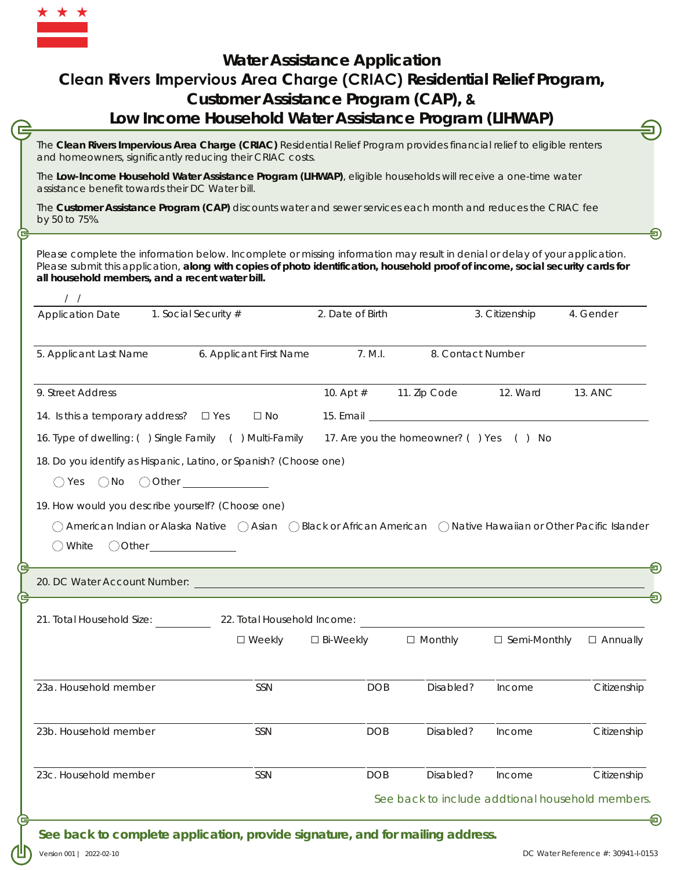

## **Water Assistance Application Clean Rivers Impervious Area Charge (CRIAC) Residential Relief Program, Customer Assistance Program (CAP), & Low Income Household Water Assistance Program (LIHWAP)**

The **Clean Rivers Impervious Area Charge (CRIAC)** Residential Relief Program provides financial relief to eligible renters and homeowners, significantly reducing their CRIAC costs.

The **Low-Income Household Water Assistance Program (LIHWAP)**, eligible households will receive a one-time water assistance benefit towards their DC Water bill.

The **Customer Assistance Program (CAP)** discounts water and sewer services each month and reduces the CRIAC fee by 50 to 75%.

Please complete the information below. Incomplete or missing information may result in denial or delay of your application. Please submit this application, **along with copies of photo identification, household proof of income, social security cards for all household members, and a recent water bill.**

| <b>Application Date</b>                                                                                                                                | 1. Social Security #        | 2. Date of Birth |                                         | 3. Citizenship | 4. Gender       |
|--------------------------------------------------------------------------------------------------------------------------------------------------------|-----------------------------|------------------|-----------------------------------------|----------------|-----------------|
| 5. Applicant Last Name                                                                                                                                 | 6. Applicant First Name     | 7. M.I.          | 8. Contact Number                       |                |                 |
| 9. Street Address                                                                                                                                      |                             | 10. Apt $#$      | 11. Zip Code                            | 12. Ward       | 13. ANC         |
| 14. Is this a temporary address? $\Box$ Yes                                                                                                            | $\square$ No                |                  |                                         |                |                 |
| 16. Type of dwelling: () Single Family () Multi-Family                                                                                                 |                             |                  | 17. Are you the homeowner? () Yes () No |                |                 |
| 18. Do you identify as Hispanic, Latino, or Spanish? (Choose one)                                                                                      |                             |                  |                                         |                |                 |
| $\bigcirc$ Yes $\bigcirc$ No $\bigcirc$ Other                                                                                                          |                             |                  |                                         |                |                 |
| 19. How would you describe yourself? (Choose one)                                                                                                      |                             |                  |                                         |                |                 |
|                                                                                                                                                        |                             |                  |                                         |                |                 |
| $\bigcirc$ American Indian or Alaska Native $\bigcirc$ Asian $\bigcirc$ Black or African American $\bigcirc$ Native Hawaiian or Other Pacific Islander |                             |                  |                                         |                |                 |
| () White                                                                                                                                               |                             |                  |                                         |                |                 |
|                                                                                                                                                        |                             |                  |                                         |                |                 |
| 21. Total Household Size:                                                                                                                              | 22. Total Household Income: |                  |                                         |                |                 |
|                                                                                                                                                        | $\square$ Weekly            | □ Bi-Weekly      | $\Box$ Monthly                          | □ Semi-Monthly | $\Box$ Annually |
| 23a. Household member                                                                                                                                  | <b>SSN</b>                  | <b>DOB</b>       | Disabled?                               | Income         | Citizenship     |
| 23b. Household member                                                                                                                                  | SSN                         | <b>DOB</b>       | Disabled?                               | Income         | Citizenship     |
| 23c. Household member                                                                                                                                  | SSN                         | <b>DOB</b>       | Disabled?                               | Income         | Citizenship     |

*See back to complete application, provide signature, and for mailing address.*

Version 001 | 2022-02-10

≘